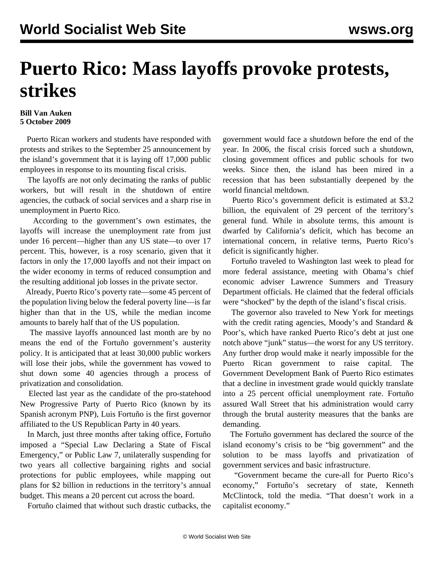## **Puerto Rico: Mass layoffs provoke protests, strikes**

## **Bill Van Auken 5 October 2009**

 Puerto Rican workers and students have responded with protests and strikes to the September 25 announcement by the island's government that it is laying off 17,000 public employees in response to its mounting fiscal crisis.

 The layoffs are not only decimating the ranks of public workers, but will result in the shutdown of entire agencies, the cutback of social services and a sharp rise in unemployment in Puerto Rico.

 According to the government's own estimates, the layoffs will increase the unemployment rate from just under 16 percent—higher than any US state—to over 17 percent. This, however, is a rosy scenario, given that it factors in only the 17,000 layoffs and not their impact on the wider economy in terms of reduced consumption and the resulting additional job losses in the private sector.

 Already, Puerto Rico's poverty rate—some 45 percent of the population living below the federal poverty line—is far higher than that in the US, while the median income amounts to barely half that of the US population.

 The massive layoffs announced last month are by no means the end of the Fortuño government's austerity policy. It is anticipated that at least 30,000 public workers will lose their jobs, while the government has vowed to shut down some 40 agencies through a process of privatization and consolidation.

 Elected last year as the candidate of the pro-statehood New Progressive Party of Puerto Rico (known by its Spanish acronym PNP), Luis Fortuño is the first governor affiliated to the US Republican Party in 40 years.

 In March, just three months after taking office, Fortuño imposed a "Special Law Declaring a State of Fiscal Emergency," or Public Law 7, unilaterally suspending for two years all collective bargaining rights and social protections for public employees, while mapping out plans for \$2 billion in reductions in the territory's annual budget. This means a 20 percent cut across the board.

Fortuño claimed that without such drastic cutbacks, the

government would face a shutdown before the end of the year. In 2006, the fiscal crisis forced such a shutdown, closing government offices and public schools for two weeks. Since then, the island has been mired in a recession that has been substantially deepened by the world financial meltdown.

 Puerto Rico's government deficit is estimated at \$3.2 billion, the equivalent of 29 percent of the territory's general fund. While in absolute terms, this amount is dwarfed by California's deficit, which has become an international concern, in relative terms, Puerto Rico's deficit is significantly higher.

 Fortuño traveled to Washington last week to plead for more federal assistance, meeting with Obama's chief economic adviser Lawrence Summers and Treasury Department officials. He claimed that the federal officials were "shocked" by the depth of the island's fiscal crisis.

 The governor also traveled to New York for meetings with the credit rating agencies, Moody's and Standard & Poor's, which have ranked Puerto Rico's debt at just one notch above "junk" status—the worst for any US territory. Any further drop would make it nearly impossible for the Puerto Rican government to raise capital. The Government Development Bank of Puerto Rico estimates that a decline in investment grade would quickly translate into a 25 percent official unemployment rate. Fortuño assured Wall Street that his administration would carry through the brutal austerity measures that the banks are demanding.

 The Fortuño government has declared the source of the island economy's crisis to be "big government" and the solution to be mass layoffs and privatization of government services and basic infrastructure.

 "Government became the cure-all for Puerto Rico's economy," Fortuño's secretary of state, Kenneth McClintock, told the media. "That doesn't work in a capitalist economy."